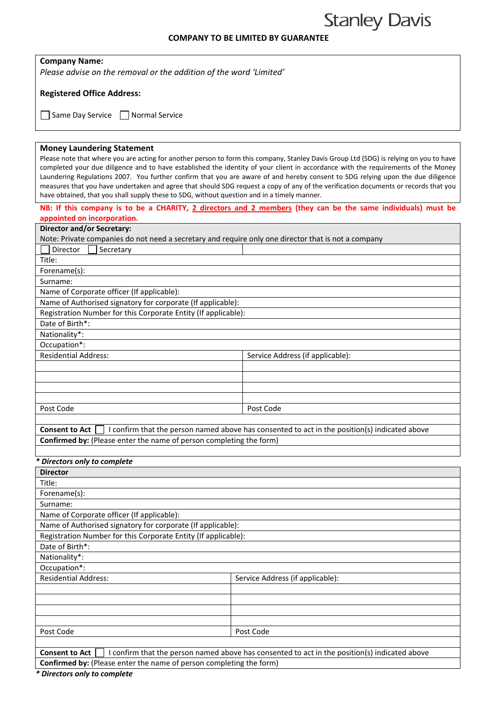## **Stanley Davis**

## **COMPANY TO BE LIMITED BY GUARANTEE**

| <b>Company Name:</b>                                                                                                                                                                                                                                                                                                                                                                                                                                                                                                                                                                                                                                                                      |                                                                                                              |  |
|-------------------------------------------------------------------------------------------------------------------------------------------------------------------------------------------------------------------------------------------------------------------------------------------------------------------------------------------------------------------------------------------------------------------------------------------------------------------------------------------------------------------------------------------------------------------------------------------------------------------------------------------------------------------------------------------|--------------------------------------------------------------------------------------------------------------|--|
| Please advise on the removal or the addition of the word 'Limited'                                                                                                                                                                                                                                                                                                                                                                                                                                                                                                                                                                                                                        |                                                                                                              |  |
|                                                                                                                                                                                                                                                                                                                                                                                                                                                                                                                                                                                                                                                                                           |                                                                                                              |  |
| <b>Registered Office Address:</b>                                                                                                                                                                                                                                                                                                                                                                                                                                                                                                                                                                                                                                                         |                                                                                                              |  |
| Same Day Service<br><b>Normal Service</b>                                                                                                                                                                                                                                                                                                                                                                                                                                                                                                                                                                                                                                                 |                                                                                                              |  |
|                                                                                                                                                                                                                                                                                                                                                                                                                                                                                                                                                                                                                                                                                           |                                                                                                              |  |
| <b>Money Laundering Statement</b><br>Please note that where you are acting for another person to form this company, Stanley Davis Group Ltd (SDG) is relying on you to have<br>completed your due diligence and to have established the identity of your client in accordance with the requirements of the Money<br>Laundering Regulations 2007. You further confirm that you are aware of and hereby consent to SDG relying upon the due diligence<br>measures that you have undertaken and agree that should SDG request a copy of any of the verification documents or records that you<br>have obtained, that you shall supply these to SDG, without question and in a timely manner. |                                                                                                              |  |
|                                                                                                                                                                                                                                                                                                                                                                                                                                                                                                                                                                                                                                                                                           | NB: If this company is to be a CHARITY, 2 directors and 2 members (they can be the same individuals) must be |  |
| appointed on incorporation.                                                                                                                                                                                                                                                                                                                                                                                                                                                                                                                                                                                                                                                               |                                                                                                              |  |
| <b>Director and/or Secretary:</b>                                                                                                                                                                                                                                                                                                                                                                                                                                                                                                                                                                                                                                                         |                                                                                                              |  |
| Note: Private companies do not need a secretary and require only one director that is not a company<br>Director                                                                                                                                                                                                                                                                                                                                                                                                                                                                                                                                                                           |                                                                                                              |  |
| Secretary<br>Title:                                                                                                                                                                                                                                                                                                                                                                                                                                                                                                                                                                                                                                                                       |                                                                                                              |  |
| Forename(s):                                                                                                                                                                                                                                                                                                                                                                                                                                                                                                                                                                                                                                                                              |                                                                                                              |  |
| Surname:                                                                                                                                                                                                                                                                                                                                                                                                                                                                                                                                                                                                                                                                                  |                                                                                                              |  |
| Name of Corporate officer (If applicable):                                                                                                                                                                                                                                                                                                                                                                                                                                                                                                                                                                                                                                                |                                                                                                              |  |
| Name of Authorised signatory for corporate (If applicable):                                                                                                                                                                                                                                                                                                                                                                                                                                                                                                                                                                                                                               |                                                                                                              |  |
| Registration Number for this Corporate Entity (If applicable):                                                                                                                                                                                                                                                                                                                                                                                                                                                                                                                                                                                                                            |                                                                                                              |  |
| Date of Birth*:                                                                                                                                                                                                                                                                                                                                                                                                                                                                                                                                                                                                                                                                           |                                                                                                              |  |
| Nationality*:                                                                                                                                                                                                                                                                                                                                                                                                                                                                                                                                                                                                                                                                             |                                                                                                              |  |
| Occupation*:                                                                                                                                                                                                                                                                                                                                                                                                                                                                                                                                                                                                                                                                              |                                                                                                              |  |
| <b>Residential Address:</b>                                                                                                                                                                                                                                                                                                                                                                                                                                                                                                                                                                                                                                                               | Service Address (if applicable):                                                                             |  |
|                                                                                                                                                                                                                                                                                                                                                                                                                                                                                                                                                                                                                                                                                           |                                                                                                              |  |
|                                                                                                                                                                                                                                                                                                                                                                                                                                                                                                                                                                                                                                                                                           |                                                                                                              |  |
|                                                                                                                                                                                                                                                                                                                                                                                                                                                                                                                                                                                                                                                                                           |                                                                                                              |  |
|                                                                                                                                                                                                                                                                                                                                                                                                                                                                                                                                                                                                                                                                                           |                                                                                                              |  |
| Post Code                                                                                                                                                                                                                                                                                                                                                                                                                                                                                                                                                                                                                                                                                 | Post Code                                                                                                    |  |
|                                                                                                                                                                                                                                                                                                                                                                                                                                                                                                                                                                                                                                                                                           |                                                                                                              |  |
| <b>Consent to Act</b>                                                                                                                                                                                                                                                                                                                                                                                                                                                                                                                                                                                                                                                                     | I confirm that the person named above has consented to act in the position(s) indicated above                |  |
| Confirmed by: (Please enter the name of person completing the form)                                                                                                                                                                                                                                                                                                                                                                                                                                                                                                                                                                                                                       |                                                                                                              |  |
|                                                                                                                                                                                                                                                                                                                                                                                                                                                                                                                                                                                                                                                                                           |                                                                                                              |  |
| * Directors only to complete                                                                                                                                                                                                                                                                                                                                                                                                                                                                                                                                                                                                                                                              |                                                                                                              |  |
| <b>Director</b>                                                                                                                                                                                                                                                                                                                                                                                                                                                                                                                                                                                                                                                                           |                                                                                                              |  |
| Title:                                                                                                                                                                                                                                                                                                                                                                                                                                                                                                                                                                                                                                                                                    |                                                                                                              |  |
| Forename(s):                                                                                                                                                                                                                                                                                                                                                                                                                                                                                                                                                                                                                                                                              |                                                                                                              |  |
| Surname:                                                                                                                                                                                                                                                                                                                                                                                                                                                                                                                                                                                                                                                                                  |                                                                                                              |  |
| Name of Corporate officer (If applicable):                                                                                                                                                                                                                                                                                                                                                                                                                                                                                                                                                                                                                                                |                                                                                                              |  |
| Name of Authorised signatory for corporate (If applicable):                                                                                                                                                                                                                                                                                                                                                                                                                                                                                                                                                                                                                               |                                                                                                              |  |
| Registration Number for this Corporate Entity (If applicable):<br>Date of Birth*:                                                                                                                                                                                                                                                                                                                                                                                                                                                                                                                                                                                                         |                                                                                                              |  |
| Nationality*:                                                                                                                                                                                                                                                                                                                                                                                                                                                                                                                                                                                                                                                                             |                                                                                                              |  |
| Occupation*:                                                                                                                                                                                                                                                                                                                                                                                                                                                                                                                                                                                                                                                                              |                                                                                                              |  |
| <b>Residential Address:</b>                                                                                                                                                                                                                                                                                                                                                                                                                                                                                                                                                                                                                                                               | Service Address (if applicable):                                                                             |  |
|                                                                                                                                                                                                                                                                                                                                                                                                                                                                                                                                                                                                                                                                                           |                                                                                                              |  |
|                                                                                                                                                                                                                                                                                                                                                                                                                                                                                                                                                                                                                                                                                           |                                                                                                              |  |
|                                                                                                                                                                                                                                                                                                                                                                                                                                                                                                                                                                                                                                                                                           |                                                                                                              |  |
|                                                                                                                                                                                                                                                                                                                                                                                                                                                                                                                                                                                                                                                                                           |                                                                                                              |  |
| Post Code                                                                                                                                                                                                                                                                                                                                                                                                                                                                                                                                                                                                                                                                                 | Post Code                                                                                                    |  |
|                                                                                                                                                                                                                                                                                                                                                                                                                                                                                                                                                                                                                                                                                           |                                                                                                              |  |

**Consent to Act**  $\Box$  I confirm that the person named above has consented to act in the position(s) indicated above **Confirmed by:** (Please enter the name of person completing the form)

*\* Directors only to complete*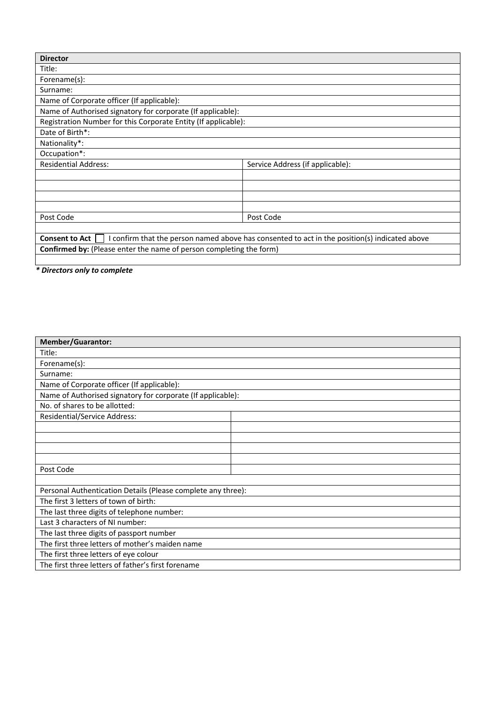| <b>Director</b>                                                                                                        |                                  |  |
|------------------------------------------------------------------------------------------------------------------------|----------------------------------|--|
|                                                                                                                        |                                  |  |
| Title:                                                                                                                 |                                  |  |
| Forename(s):                                                                                                           |                                  |  |
| Surname:                                                                                                               |                                  |  |
| Name of Corporate officer (If applicable):                                                                             |                                  |  |
| Name of Authorised signatory for corporate (If applicable):                                                            |                                  |  |
| Registration Number for this Corporate Entity (If applicable):                                                         |                                  |  |
| Date of Birth*:                                                                                                        |                                  |  |
| Nationality*:                                                                                                          |                                  |  |
| Occupation*:                                                                                                           |                                  |  |
| <b>Residential Address:</b>                                                                                            | Service Address (if applicable): |  |
|                                                                                                                        |                                  |  |
|                                                                                                                        |                                  |  |
|                                                                                                                        |                                  |  |
|                                                                                                                        |                                  |  |
| Post Code                                                                                                              | Post Code                        |  |
|                                                                                                                        |                                  |  |
| I confirm that the person named above has consented to act in the position(s) indicated above<br><b>Consent to Act</b> |                                  |  |
| <b>Confirmed by:</b> (Please enter the name of person completing the form)                                             |                                  |  |
|                                                                                                                        |                                  |  |

*\* Directors only to complete* 

| <b>Member/Guarantor:</b>                                     |  |  |
|--------------------------------------------------------------|--|--|
| Title:                                                       |  |  |
| Forename(s):                                                 |  |  |
| Surname:                                                     |  |  |
| Name of Corporate officer (If applicable):                   |  |  |
| Name of Authorised signatory for corporate (If applicable):  |  |  |
| No. of shares to be allotted:                                |  |  |
| <b>Residential/Service Address:</b>                          |  |  |
|                                                              |  |  |
|                                                              |  |  |
|                                                              |  |  |
|                                                              |  |  |
| Post Code                                                    |  |  |
|                                                              |  |  |
| Personal Authentication Details (Please complete any three): |  |  |
| The first 3 letters of town of birth:                        |  |  |
| The last three digits of telephone number:                   |  |  |
| Last 3 characters of NI number:                              |  |  |
| The last three digits of passport number                     |  |  |
| The first three letters of mother's maiden name              |  |  |
| The first three letters of eye colour                        |  |  |
| The first three letters of father's first forename           |  |  |